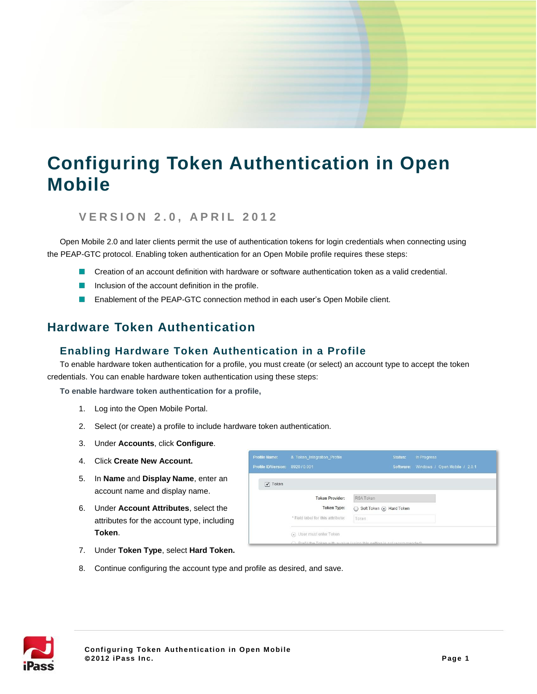# **Configuring Token Authentication in Open Mobile**

#### **V E R S I O N 2 . 0 , A P R I L 2 0 1 2**

Open Mobile 2.0 and later clients permit the use of authentication tokens for login credentials when connecting using the PEAP-GTC protocol. Enabling token authentication for an Open Mobile profile requires these steps:

- **Creation of an account definition with hardware or software authentication token as a valid credential.**
- Inclusion of the account definition in the profile.
- $\blacksquare$ Enablement of the PEAP-GTC connection method in each user's Open Mobile client.

# **Hardware Token Authentication**

## **Enabling Hardware Token Authentication in a Profile**

To enable hardware token authentication for a profile, you must create (or select) an account type to accept the token credentials. You can enable hardware token authentication using these steps:

**To enable hardware token authentication for a profile,**

- 1. Log into the Open Mobile Portal.
- 2. Select (or create) a profile to include hardware token authentication.
- 3. Under **Accounts**, click **Configure**.
- 4. Click **Create New Account.**
- 5. In **Name** and **Display Name**, enter an account name and display name.
- 6. Under **Account Attributes**, select the attributes for the account type, including **Token**.

| <b>Profile Name:</b>       | & Token Integration Profile                                                                            |                                | Status: | In Progress                             |
|----------------------------|--------------------------------------------------------------------------------------------------------|--------------------------------|---------|-----------------------------------------|
| <b>Profile ID/Version:</b> | 8920 / 0.001                                                                                           |                                |         | Software: Windows / Open Mobile / 2.0.1 |
| $\sqrt{}$ Token            |                                                                                                        |                                |         |                                         |
|                            | <b>Token Provider:</b>                                                                                 | <b>RSA Token</b>               |         |                                         |
|                            | <b>Token Type:</b>                                                                                     | Soft Token (a) Hard Token<br>○ |         |                                         |
|                            | * Field label for this attribute:                                                                      | Token                          |         |                                         |
|                            | (a) User must enter Token<br>C Profill the Taken with a value (using this setting is not recommended). |                                |         |                                         |

- 7. Under **Token Type**, select **Hard Token.**
- 8. Continue configuring the account type and profile as desired, and save.

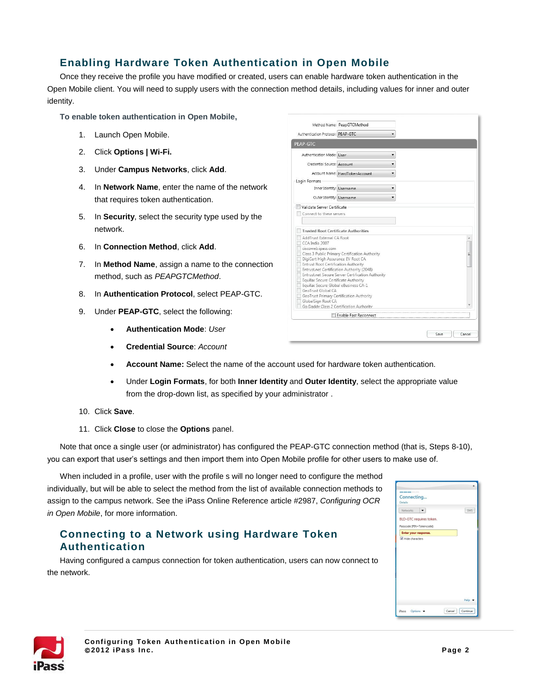## **Enabling Hardware Token Authentication in Open Mobile**

Once they receive the profile you have modified or created, users can enable hardware token authentication in the Open Mobile client. You will need to supply users with the connection method details, including values for inner and outer identity.

**To enable token authentication in Open Mobile,**

- 1. Launch Open Mobile.
- 2. Click **Options | Wi-Fi.**
- 3. Under **Campus Networks**, click **Add**.
- 4. In **Network Name**, enter the name of the network that requires token authentication.
- 5. In **Security**, select the security type used by the network.
- 6. In **Connection Method**, click **Add**.
- 7. In **Method Name**, assign a name to the connection method, such as *PEAPGTCMethod*.
- 8. In **Authentication Protocol**, select PEAP-GTC.
- 9. Under **PEAP-GTC**, select the following:
	- **Authentication Mode**: *User*
	- **Credential Source**: *Account*
	- **Account Name:** Select the name of the account used for hardware token authentication.
	- Under **Login Formats**, for both **Inner Identity** and **Outer Identity**, select the appropriate value from the drop-down list, as specified by your administrator .
- 10. Click **Save**.
- 11. Click **Close** to close the **Options** panel.

Note that once a single user (or administrator) has configured the PEAP-GTC connection method (that is, Steps 8-10), you can export that user's settings and then import them into Open Mobile profile for other users to make use of.

When included in a profile, user with the profile s will no longer need to configure the method individually, but will be able to select the method from the list of available connection methods to assign to the campus network. See the iPass Online Reference article #2987, *Configuring OCR in Open Mobile*, for more information.

#### **Connecting to a Network using Hardware Token Authentication**

Having configured a campus connection for token authentication, users can now connect to the network.

| ---                                               |     |
|---------------------------------------------------|-----|
| Connecting<br><b>Details</b>                      |     |
| Networks                                          | SMS |
| BLD-GTC requires token.                           |     |
| Passcode [PIN+Tokencode]:<br>Enter your response. |     |
|                                                   |     |
|                                                   |     |



| Authentication Protocol: PEAP-GTC                                            |                                                   |  |
|------------------------------------------------------------------------------|---------------------------------------------------|--|
|                                                                              |                                                   |  |
| <b>PEAP-GTC</b>                                                              |                                                   |  |
| Authentication Mode: User                                                    |                                                   |  |
| Credential Source: Account                                                   |                                                   |  |
|                                                                              | Account Name: HardTokenAccount                    |  |
| Login Formats                                                                |                                                   |  |
| Inner Identity: Username                                                     |                                                   |  |
| Outer Identity: Username                                                     |                                                   |  |
| CCA India 2007                                                               |                                                   |  |
| AddTrust External CA Root                                                    |                                                   |  |
| ciscoweb.ipass.com                                                           | Class 3 Public Primary Certification Authority    |  |
| DigiCert High Assurance EV Root CA                                           |                                                   |  |
| Entrust Root Certification Authority                                         | Entrust.net Certification Authority (2048)        |  |
|                                                                              | Entrust.net Secure Server Certification Authority |  |
| Equifax Secure Certificate Authority<br>Equifax Secure Global eBusiness CA-1 |                                                   |  |
| GeoTrust Global CA                                                           |                                                   |  |
| GeoTrust Primary Certification Authority<br>GlobalSign Root CA               |                                                   |  |
|                                                                              | Go Daddy Class 2 Certification Authority          |  |
|                                                                              | Enable Fast Reconnect                             |  |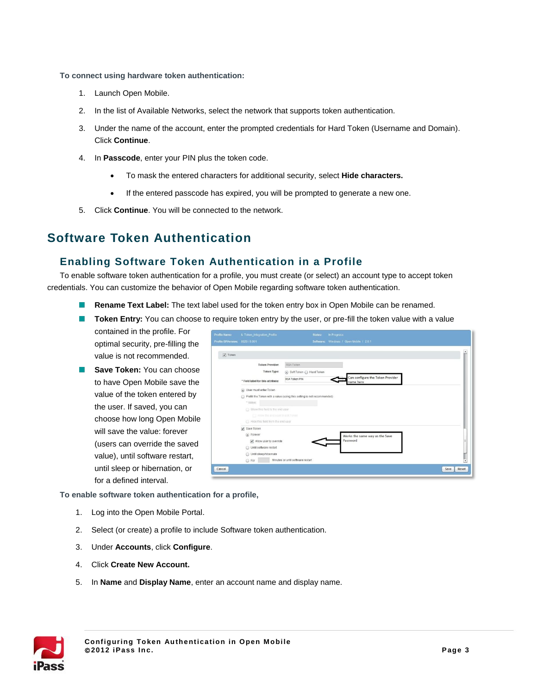**To connect using hardware token authentication:**

- 1. Launch Open Mobile.
- 2. In the list of Available Networks, select the network that supports token authentication.
- 3. Under the name of the account, enter the prompted credentials for Hard Token (Username and Domain). Click **Continue**.
- 4. In **Passcode**, enter your PIN plus the token code.
	- To mask the entered characters for additional security, select **Hide characters.**
	- If the entered passcode has expired, you will be prompted to generate a new one.
- 5. Click **Continue**. You will be connected to the network.

# **Software Token Authentication**

#### **Enabling Software Token Authentication in a Profile**

To enable software token authentication for a profile, you must create (or select) an account type to accept token credentials. You can customize the behavior of Open Mobile regarding software token authentication.

- **Rename Text Label:** The text label used for the token entry box in Open Mobile can be renamed.
- **Token Entry:** You can choose to require token entry by the user, or pre-fill the token value with a value

contained in the profile. For optimal security, pre-filling the value is not recommended.

**Save Token:** You can choose to have Open Mobile save the value of the token entered by the user. If saved, you can choose how long Open Mobile will save the value: forever (users can override the saved value), until software restart, until sleep or hibernation, or for a defined interval.

| rofile Name:<br>rofile ID/Version: 8920/0.001 | & Token_Integration_Profile        | Status:<br>In Progress<br>Software: Windows / Open Mobile / 201        |        |
|-----------------------------------------------|------------------------------------|------------------------------------------------------------------------|--------|
| $\sqrt{}$ Token                               |                                    |                                                                        | ۰<br>÷ |
|                                               | <b>Token Provider:</b>             | RSA Token                                                              |        |
|                                               | Token Type:                        | Soft Token & Hard Token                                                |        |
|                                               | * Field label for this attribute:  | Can configure the Token Provider<br><b>RSA Token PIN</b><br>name here  |        |
|                                               | (a) User must enter Token          |                                                                        |        |
|                                               |                                    | Prefill the Token with a value (using this setting is not recommended) |        |
|                                               | * Value:                           |                                                                        |        |
|                                               | Show this field to the end user    |                                                                        |        |
|                                               | T Allow the end user to edit Token |                                                                        |        |
|                                               | Hide this field from the end user  |                                                                        |        |
|                                               | Save Token                         |                                                                        |        |
|                                               | (a) Forever                        | Works the same way as the Save                                         |        |
|                                               | Allow user to override             | Password                                                               |        |
|                                               | O Until software restart           |                                                                        |        |
|                                               | O Until sleep/hibernate            |                                                                        |        |
|                                               | ○ For                              | Minutes or until software restart                                      | Ţ      |
| Cancel                                        |                                    | Save                                                                   | Reset  |

**To enable software token authentication for a profile,**

- 1. Log into the Open Mobile Portal.
- 2. Select (or create) a profile to include Software token authentication.
- 3. Under **Accounts**, click **Configure**.
- 4. Click **Create New Account.**
- 5. In **Name** and **Display Name**, enter an account name and display name.

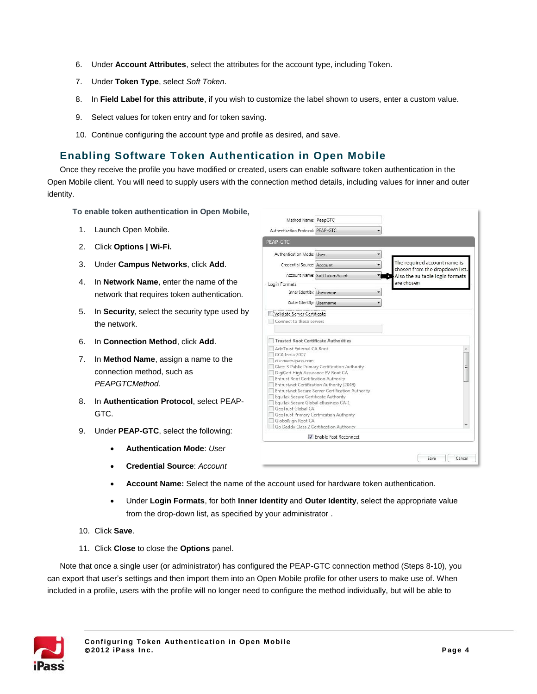- 6. Under **Account Attributes**, select the attributes for the account type, including Token.
- 7. Under **Token Type**, select *Soft Token*.
- 8. In **Field Label for this attribute**, if you wish to customize the label shown to users, enter a custom value.
- 9. Select values for token entry and for token saving.
- 10. Continue configuring the account type and profile as desired, and save.

## **Enabling Software Token Authentication in Open Mobile**

Once they receive the profile you have modified or created, users can enable software token authentication in the Open Mobile client. You will need to supply users with the connection method details, including values for inner and outer identity.

**To enable token authentication in Open Mobile,**

- 1. Launch Open Mobile.
- 2. Click **Options | Wi-Fi.**
- 3. Under **Campus Networks**, click **Add**.
- 4. In **Network Name**, enter the name of the network that requires token authentication.
- 5. In **Security**, select the security type used by the network.
- 6. In **Connection Method**, click **Add**.
- 7. In **Method Name**, assign a name to the connection method, such as *PEAPGTCMethod*.
- 8. In **Authentication Protocol**, select PEAP-GTC.
- 9. Under **PEAP-GTC**, select the following:
	- **Authentication Mode**: *User*
	- **Credential Source**: *Account*
- Method Name: PeapGTC Authentication Protocol: PEAP-GTC  $\ddot{\phantom{0}}$ PEAP-GTC Authentication Mode: User  $\overline{\phantom{a}}$ The required account name is Credential Source: Account  $\overline{\phantom{0}}$ chosen from the dropdown list Account Name: SoftTokenAccnt Also the suitable login formats re chosen Login Formats Inner Identity: Username  $\ddot{\phantom{0}}$ Outer Identity: Username ⊋ Validate Server Certificate Connect to these servers Trusted Root Certificate Authorities AddTrust External CA Root CCA India 2007 ciscoweb.ipass.com Class 3 Public Primary Certification Authority DigiCert High Assurance EV Root CA **Entrust Root Certification Authority** Entrust.net Certification Authority (2048) Entrust.net Secure Server Certification Authority Equifax Secure Certificate Authority Equifax Secure Global eBusiness CA-1 GeoTrust Global CA GeoTrust Primary Certification Authority GlobalSign Root CA Go Daddy Class 2 Certification Authority T Enable Fast Reconnect Save Cancel
- **Account Name:** Select the name of the account used for hardware token authentication.
- Under **Login Formats**, for both **Inner Identity** and **Outer Identity**, select the appropriate value from the drop-down list, as specified by your administrator .
- 10. Click **Save**.
- 11. Click **Close** to close the **Options** panel.

Note that once a single user (or administrator) has configured the PEAP-GTC connection method (Steps 8-10), you can export that user's settings and then import them into an Open Mobile profile for other users to make use of. When included in a profile, users with the profile will no longer need to configure the method individually, but will be able to

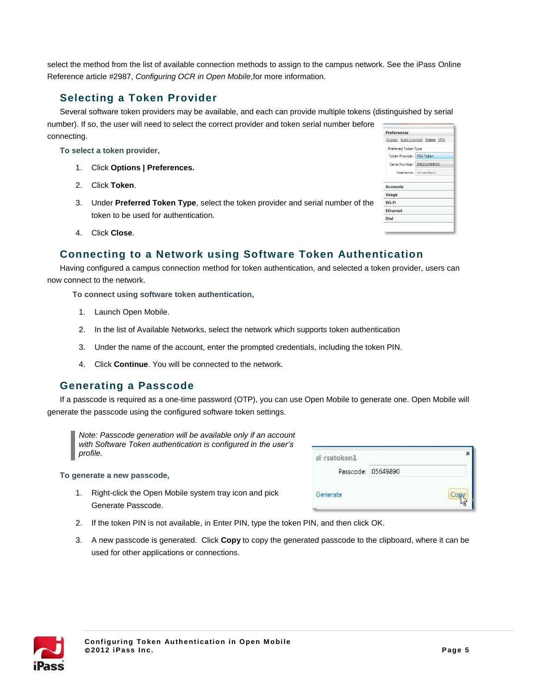select the method from the list of available connection methods to assign to the campus network. See the iPass Online Reference article #2987, *Configuring OCR in Open Mobile*,for more information.

## **Selecting a Token Provider**

Several software token providers may be available, and each can provide multiple tokens (distinguished by serial number). If so, the user will need to select the correct provider and token serial number before connecting.

**To select a token provider,**

- 1. Click **Options | Preferences.**
- 2. Click **Token**.
- 3. Under **Preferred Token Type**, select the token provider and serial number of the token to be used for authentication.

| <b>Preferences</b>          |                                |
|-----------------------------|--------------------------------|
|                             | Display Auto-Connect Token VPN |
| Preferred Token Type        |                                |
| Token Provider: RSA Token   |                                |
| Serial Number: 000102464555 |                                |
|                             | Username: sl-rsatoken1         |
| <b>Accounts</b><br>Usage    |                                |
| Wi-Fi                       |                                |
| Ethernet                    |                                |
| Dial                        |                                |

4. Click **Close**.

#### **Connecting to a Network using Software Token Authentication**

Having configured a campus connection method for token authentication, and selected a token provider, users can now connect to the network.

**To connect using software token authentication,**

- 1. Launch Open Mobile.
- 2. In the list of Available Networks, select the network which supports token authentication
- 3. Under the name of the account, enter the prompted credentials, including the token PIN.
- 4. Click **Continue**. You will be connected to the network.

#### **Generating a Passcode**

If a passcode is required as a one-time password (OTP), you can use Open Mobile to generate one. Open Mobile will generate the passcode using the configured software token settings.

*Note: Passcode generation will be available only if an account with Software Token authentication is configured in the user's profile.*

**To generate a new passcode,**

1. Right-click the Open Mobile system tray icon and pick Generate Passcode.

| sl-rsatoken1 |                    |  |
|--------------|--------------------|--|
|              | Passcode: 05649890 |  |
| Generate     |                    |  |

- 2. If the token PIN is not available, in Enter PIN, type the token PIN, and then click OK.
- 3. A new passcode is generated. Click **Copy** to copy the generated passcode to the clipboard, where it can be used for other applications or connections.

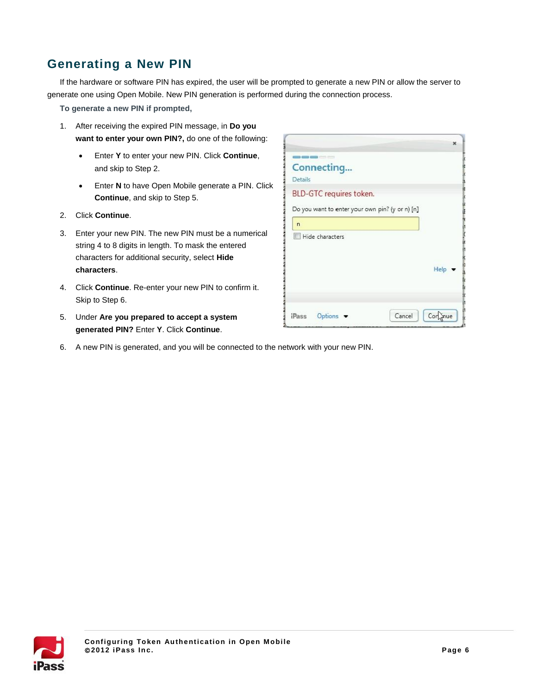# **Generating a New PIN**

If the hardware or software PIN has expired, the user will be prompted to generate a new PIN or allow the server to generate one using Open Mobile. New PIN generation is performed during the connection process.

**To generate a new PIN if prompted,**

- 1. After receiving the expired PIN message, in **Do you want to enter your own PIN?,** do one of the following:
	- Enter **Y** to enter your new PIN. Click **Continue**, and skip to Step 2.
	- **Enter N** to have Open Mobile generate a PIN. Click **Continue**, and skip to Step 5.
- 2. Click **Continue**.
- 3. Enter your new PIN. The new PIN must be a numerical string 4 to 8 digits in length. To mask the entered characters for additional security, select **Hide characters**.
- 4. Click **Continue**. Re-enter your new PIN to confirm it. Skip to Step 6.
- 5. Under **Are you prepared to accept a system generated PIN?** Enter **Y**. Click **Continue**.
- 6. A new PIN is generated, and you will be connected to the network with your new PIN.

|                |                                                                            | $\mathbf x$ |
|----------------|----------------------------------------------------------------------------|-------------|
|                |                                                                            |             |
| Details        | Connecting                                                                 |             |
|                | BLD-GTC requires token.<br>Do you want to enter your own pin? (y or n) [n] |             |
| $\overline{ }$ |                                                                            |             |
|                | Hide characters                                                            |             |
|                |                                                                            |             |
|                |                                                                            | Help        |